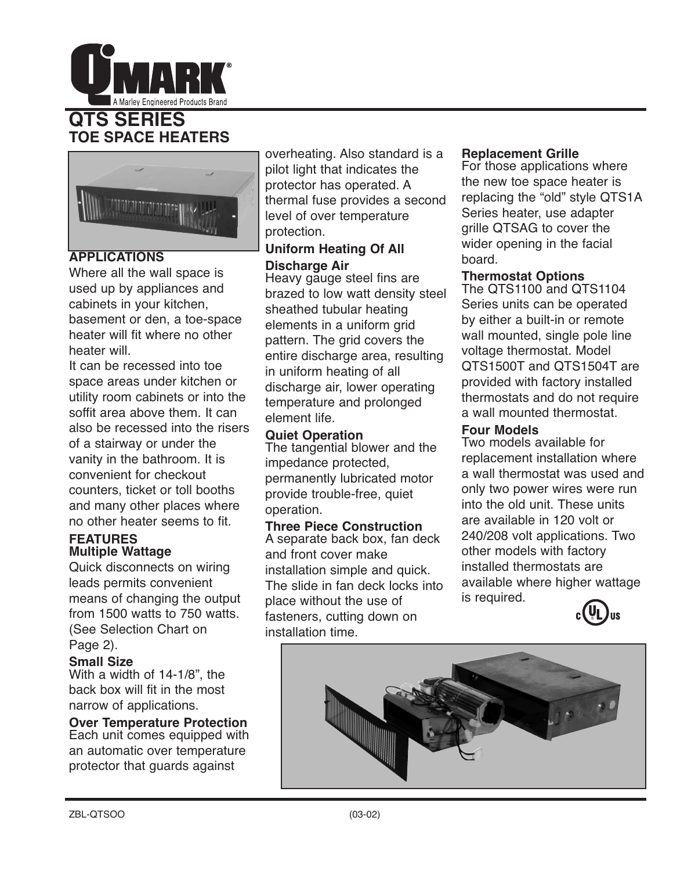

# **QTS SERIES TOE SPACE HEATERS**



# **APPLICATIONS**

Where all the wall space is used up by appliances and cabinets in your kitchen, basement or den, a toe-space heater will fit where no other heater will.

It can be recessed into toe space areas under kitchen or utility room cabinets or into the soffit area above them. It can also be recessed into the risers of a stairway or under the vanity in the bathroom. It is convenient for checkout counters, ticket or toll booths and many other places where no other heater seems to fit.

### **FEATURES Multiple Wattage**

Quick disconnects on wiring leads permits convenient means of changing the output from 1500 watts to 750 watts. (See Selection Chart on Page 2).

## **Small Size**

With a width of 14-1/8", the back box will fit in the most narrow of applications.

**Over Temperature Protection** Each unit comes equipped with an automatic over temperature protector that guards against

overheating. Also standard is a pilot light that indicates the protector has operated. A thermal fuse provides a second level of over temperature protection.

# **Uniform Heating Of All Discharge Air**

Heavy gauge steel fins are brazed to low watt density steel sheathed tubular heating elements in a uniform grid pattern. The grid covers the entire discharge area, resulting in uniform heating of all discharge air, lower operating temperature and prolonged element life.

# **Quiet Operation**

The tangential blower and the impedance protected, permanently lubricated motor provide trouble-free, quiet operation.

## **Three Piece Construction**

A separate back box, fan deck and front cover make installation simple and quick. The slide in fan deck locks into place without the use of fasteners, cutting down on installation time.

# **Replacement Grille**

For those applications where the new toe space heater is replacing the "old" style QTS1A Series heater, use adapter grille QTSAG to cover the wider opening in the facial board.

# **Thermostat Options**

The QTS1100 and QTS1104 Series units can be operated by either a built-in or remote wall mounted, single pole line voltage thermostat. Model QTS1500T and QTS1504T are provided with factory installed thermostats and do not require a wall mounted thermostat.

# **Four Models**

Two models available for replacement installation where a wall thermostat was used and only two power wires were run into the old unit. These units are available in 120 volt or 240/208 volt applications. Two other models with factory installed thermostats are available where higher wattage is required.